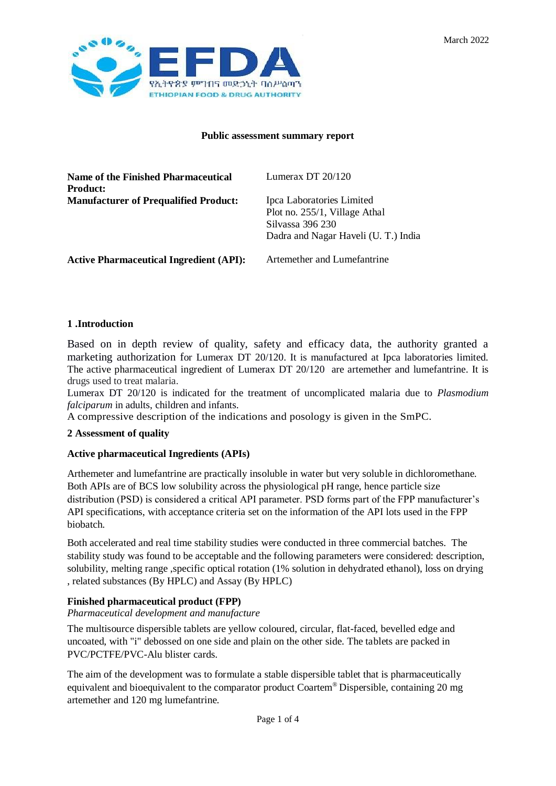

## **Public assessment summary report**

| Name of the Finished Pharmaceutical<br>Product: | Lumerax DT $20/120$                                                                                                    |
|-------------------------------------------------|------------------------------------------------------------------------------------------------------------------------|
| <b>Manufacturer of Prequalified Product:</b>    | Ipca Laboratories Limited<br>Plot no. 255/1, Village Athal<br>Silvassa 396 230<br>Dadra and Nagar Haveli (U. T.) India |
| <b>Active Pharmaceutical Ingredient (API):</b>  | Artemether and Lumefantrine                                                                                            |

#### **1 .Introduction**

Based on in depth review of quality, safety and efficacy data, the authority granted a marketing authorization for Lumerax DT 20/120. It is manufactured at Ipca laboratories limited. The active pharmaceutical ingredient of Lumerax DT 20/120 are artemether and lumefantrine. It is drugs used to treat malaria.

Lumerax DT 20/120 is indicated for the treatment of uncomplicated malaria due to *Plasmodium falciparum* in adults, children and infants.

A compressive description of the indications and posology is given in the SmPC.

#### **2 Assessment of quality**

#### **Active pharmaceutical Ingredients (APIs)**

Arthemeter and lumefantrine are practically insoluble in water but very soluble in dichloromethane. Both APIs are of BCS low solubility across the physiological pH range, hence particle size distribution (PSD) is considered a critical API parameter. PSD forms part of the FPP manufacturer's API specifications, with acceptance criteria set on the information of the API lots used in the FPP biobatch.

Both accelerated and real time stability studies were conducted in three commercial batches. The stability study was found to be acceptable and the following parameters were considered: description, solubility, melting range ,specific optical rotation (1% solution in dehydrated ethanol), loss on drying , related substances (By HPLC) and Assay (By HPLC)

# **Finished pharmaceutical product (FPP)**

*Pharmaceutical development and manufacture*

The multisource dispersible tablets are yellow coloured, circular, flat-faced, bevelled edge and uncoated, with "i" debossed on one side and plain on the other side. The tablets are packed in PVC/PCTFE/PVC-Alu blister cards.

The aim of the development was to formulate a stable dispersible tablet that is pharmaceutically equivalent and bioequivalent to the comparator product Coartem® Dispersible, containing 20 mg artemether and 120 mg lumefantrine.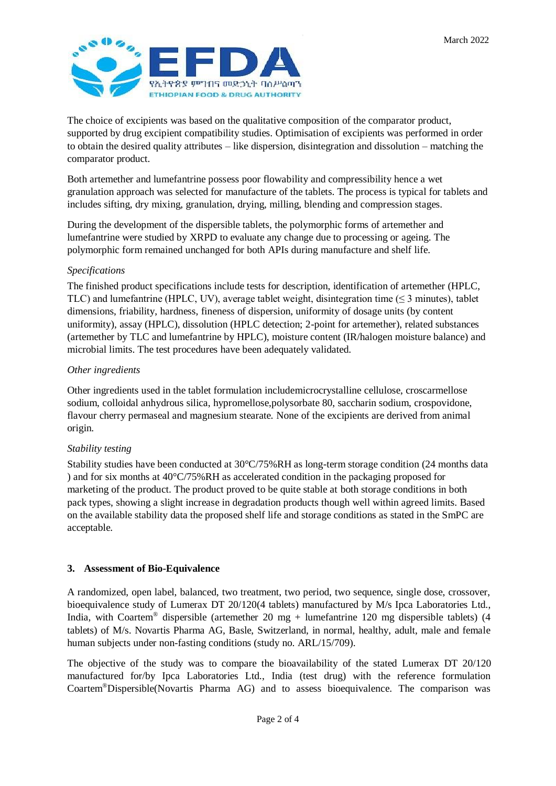

The choice of excipients was based on the qualitative composition of the comparator product, supported by drug excipient compatibility studies. Optimisation of excipients was performed in order to obtain the desired quality attributes – like dispersion, disintegration and dissolution – matching the comparator product.

Both artemether and lumefantrine possess poor flowability and compressibility hence a wet granulation approach was selected for manufacture of the tablets. The process is typical for tablets and includes sifting, dry mixing, granulation, drying, milling, blending and compression stages.

During the development of the dispersible tablets, the polymorphic forms of artemether and lumefantrine were studied by XRPD to evaluate any change due to processing or ageing. The polymorphic form remained unchanged for both APIs during manufacture and shelf life.

## *Specifications*

The finished product specifications include tests for description, identification of artemether (HPLC, TLC) and lumefantrine (HPLC, UV), average tablet weight, disintegration time  $(\leq 3 \text{ minutes})$ , tablet dimensions, friability, hardness, fineness of dispersion, uniformity of dosage units (by content uniformity), assay (HPLC), dissolution (HPLC detection; 2-point for artemether), related substances (artemether by TLC and lumefantrine by HPLC), moisture content (IR/halogen moisture balance) and microbial limits. The test procedures have been adequately validated.

## *Other ingredients*

Other ingredients used in the tablet formulation includemicrocrystalline cellulose, croscarmellose sodium, colloidal anhydrous silica, hypromellose,polysorbate 80, saccharin sodium, crospovidone, flavour cherry permaseal and magnesium stearate. None of the excipients are derived from animal origin.

# *Stability testing*

Stability studies have been conducted at 30°C/75%RH as long-term storage condition (24 months data ) and for six months at  $40^{\circ}C/75\%RH$  as accelerated condition in the packaging proposed for marketing of the product. The product proved to be quite stable at both storage conditions in both pack types, showing a slight increase in degradation products though well within agreed limits. Based on the available stability data the proposed shelf life and storage conditions as stated in the SmPC are acceptable.

# **3. Assessment of Bio-Equivalence**

A randomized, open label, balanced, two treatment, two period, two sequence, single dose, crossover, bioequivalence study of Lumerax DT 20/120(4 tablets) manufactured by M/s Ipca Laboratories Ltd., India, with Coartem® dispersible (artemether 20 mg + lumefantrine 120 mg dispersible tablets) (4 tablets) of M/s. Novartis Pharma AG, Basle, Switzerland, in normal, healthy, adult, male and female human subjects under non-fasting conditions (study no. ARL/15/709).

The objective of the study was to compare the bioavailability of the stated Lumerax DT 20/120 manufactured for/by Ipca Laboratories Ltd., India (test drug) with the reference formulation Coartem®Dispersible(Novartis Pharma AG) and to assess bioequivalence. The comparison was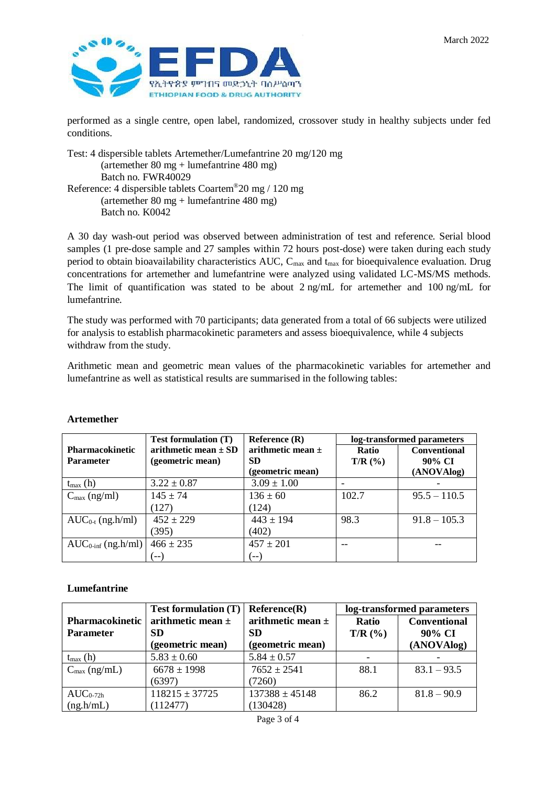

performed as a single centre, open label, randomized, crossover study in healthy subjects under fed conditions.

Test: 4 dispersible tablets Artemether/Lumefantrine 20 mg/120 mg (artemether 80 mg + lumefantrine 480 mg) Batch no. FWR40029 Reference: 4 dispersible tablets Coartem®20 mg / 120 mg (artemether 80 mg + lumefantrine 480 mg) Batch no. K0042

A 30 day wash-out period was observed between administration of test and reference. Serial blood samples (1 pre-dose sample and 27 samples within 72 hours post-dose) were taken during each study period to obtain bioavailability characteristics AUC, Cmax and tmax for bioequivalence evaluation. Drug concentrations for artemether and lumefantrine were analyzed using validated LC-MS/MS methods. The limit of quantification was stated to be about 2 ng/mL for artemether and 100 ng/mL for lumefantrine.

The study was performed with 70 participants; data generated from a total of 66 subjects were utilized for analysis to establish pharmacokinetic parameters and assess bioequivalence, while 4 subjects withdraw from the study.

Arithmetic mean and geometric mean values of the pharmacokinetic variables for artemether and lumefantrine as well as statistical results are summarised in the following tables:

|                                | <b>Test formulation (T)</b> | Reference $(R)$       | log-transformed parameters |                     |
|--------------------------------|-----------------------------|-----------------------|----------------------------|---------------------|
| <b>Pharmacokinetic</b>         | arithmetic mean $\pm$ SD    | arithmetic mean $\pm$ | Ratio                      | <b>Conventional</b> |
| <b>Parameter</b>               | (geometric mean)            | <b>SD</b>             | $T/R$ (%)                  | 90% CI              |
|                                |                             | (geometric mean)      |                            | (ANOVAlog)          |
| $t_{\text{max}}$ (h)           | $3.22 \pm 0.87$             | $3.09 \pm 1.00$       |                            |                     |
| $C_{\text{max}}$ (ng/ml)       | $145 \pm 74$                | $136 \pm 60$          | 102.7                      | $95.5 - 110.5$      |
|                                | (127)                       | (124)                 |                            |                     |
| $AUC_{0-t}$ (ng.h/ml)          | $452 \pm 229$               | $443 \pm 194$         | 98.3                       | $91.8 - 105.3$      |
|                                | (395)                       | (402)                 |                            |                     |
| $AUC_{0\text{-inf}}$ (ng.h/ml) | $466 \pm 235$               | $457 \pm 201$         | $ -$                       |                     |
|                                |                             | (-- )                 |                            |                     |

#### **Artemether**

## **Lumefantrine**

|                          | <b>Test formulation (T)</b> | Reference(R)          | log-transformed parameters |                     |
|--------------------------|-----------------------------|-----------------------|----------------------------|---------------------|
| Pharmacokinetic          | arithmetic mean $\pm$       | arithmetic mean $\pm$ | Ratio                      | <b>Conventional</b> |
| <b>Parameter</b>         | <b>SD</b>                   | <b>SD</b>             | $T/R$ (%)                  | 90% CI              |
|                          | (geometric mean)            | (geometric mean)      |                            | (ANOVAlog)          |
| $t_{\text{max}}$ (h)     | $5.83 \pm 0.60$             | $5.84 \pm 0.57$       |                            |                     |
| $C_{\text{max}}$ (ng/mL) | $6678 \pm 1998$             | $7652 \pm 2541$       | 88.1                       | $83.1 - 93.5$       |
|                          | (6397)                      | (7260)                |                            |                     |
| $AUC_{0-72h}$            | $118215 \pm 37725$          | $137388 \pm 45148$    | 86.2                       | $81.8 - 90.9$       |
| (ng.h/mL)                | (112477)                    | (130428)              |                            |                     |